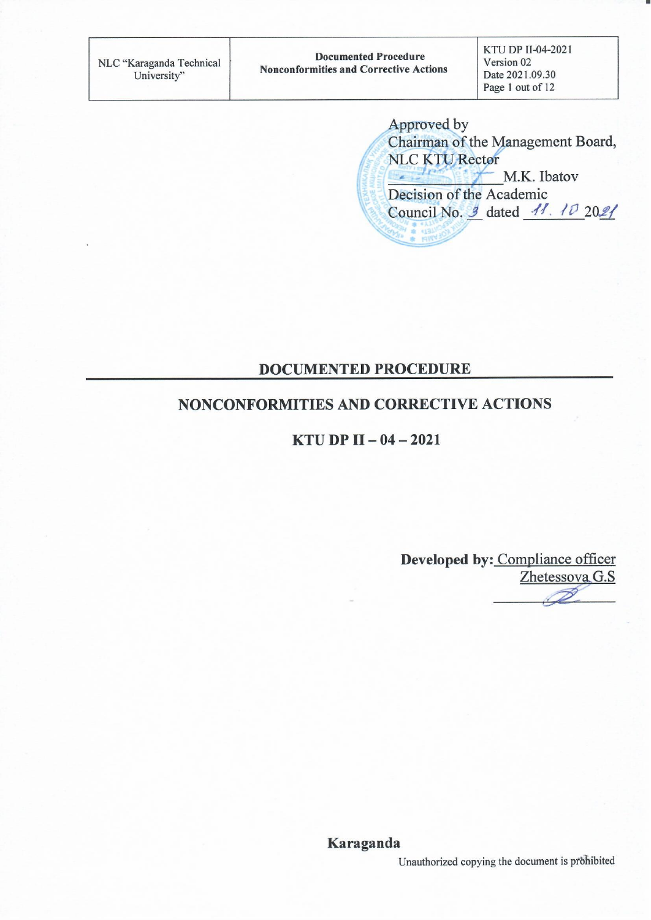KTU DP II-04-2021 Version 02 Date 2021.09.30 Page 1 out of 12

Approved by Chairman of the Management Board, NLC KTU Rector M.K. Ibatov Decision of the Academic Council No. 9 dated 11. 10 2021

#### **DOCUMENTED PROCEDURE**

#### NONCONFORMITIES AND CORRECTIVE ACTIONS

**KTU DP II - 04 - 2021** 

Developed by: Compliance officer Zhetessova G.S

Karaganda

Unauthorized copying the document is prohibited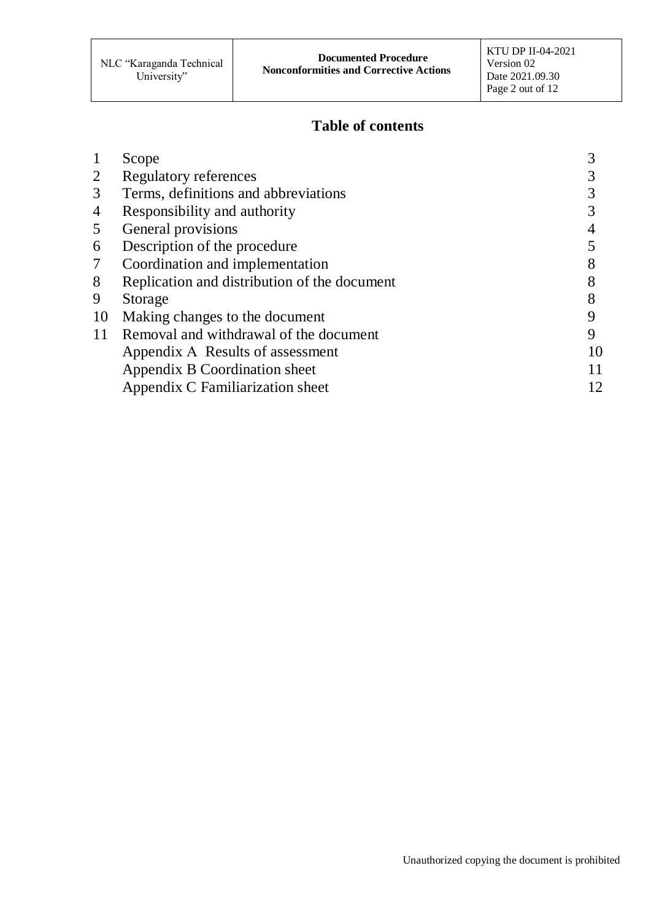### **Table of contents**

|    | Scope                                        |    |
|----|----------------------------------------------|----|
| 2  | Regulatory references                        |    |
| 3  | Terms, definitions and abbreviations         |    |
| 4  | Responsibility and authority                 |    |
| 5  | General provisions                           |    |
| 6  | Description of the procedure                 |    |
| 7  | Coordination and implementation              |    |
| 8  | Replication and distribution of the document |    |
| 9  | Storage                                      |    |
| 10 | Making changes to the document               | Q  |
| 11 | Removal and withdrawal of the document       | 9  |
|    | Appendix A Results of assessment             | 10 |
|    | Appendix B Coordination sheet                | 11 |
|    | Appendix C Familiarization sheet             | 12 |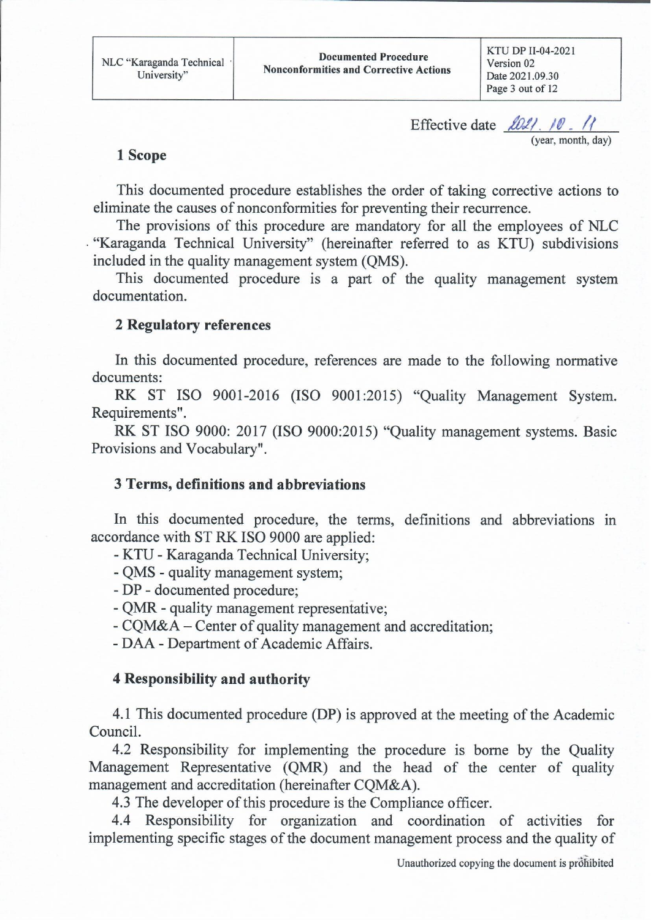KTU DP II-04-2021 Version 02 Date 2021.09.30 Page 3 out of 12

Effective date loll 10. 11 (year, month, day)

#### 1 Scope

This documented procedure establishes the order of taking corrective actions to eliminate the causes of nonconformities for preventing their recurrence.

The provisions of this procedure are mandatory for all the employees of NLC . "Karaganda Technical University" (hereinafter referred to as KTU) subdivisions included in the quality management system (QMS).

This documented procedure is a part of the quality management system documentation.

#### **2 Regulatory references**

In this documented procedure, references are made to the following normative documents:

RK ST ISO 9001-2016 (ISO 9001:2015) "Quality Management System. Requirements".

RK ST ISO 9000: 2017 (ISO 9000:2015) "Quality management systems. Basic Provisions and Vocabulary".

#### 3 Terms, definitions and abbreviations

In this documented procedure, the terms, definitions and abbreviations in accordance with ST RK ISO 9000 are applied:

- KTU - Karaganda Technical University;

- QMS - quality management system;

- DP - documented procedure;

- QMR - quality management representative;

- CQM&A – Center of quality management and accreditation;

- DAA - Department of Academic Affairs.

#### **4 Responsibility and authority**

4.1 This documented procedure (DP) is approved at the meeting of the Academic Council.

4.2 Responsibility for implementing the procedure is borne by the Quality Management Representative (QMR) and the head of the center of quality management and accreditation (hereinafter CQM&A).

4.3 The developer of this procedure is the Compliance officer.

4.4 Responsibility for organization and coordination of activities for implementing specific stages of the document management process and the quality of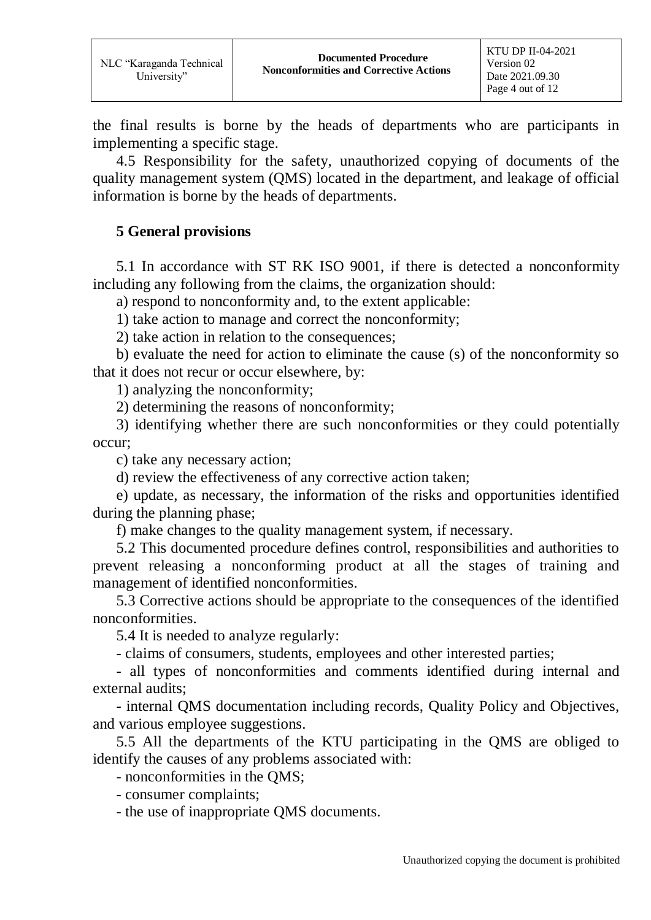the final results is borne by the heads of departments who are participants in implementing a specific stage.

4.5 Responsibility for the safety, unauthorized copying of documents of the quality management system (QMS) located in the department, and leakage of official information is borne by the heads of departments.

### **5 General provisions**

5.1 In accordance with ST RK ISO 9001, if there is detected a nonconformity including any following from the claims, the organization should:

a) respond to nonconformity and, to the extent applicable:

1) take action to manage and correct the nonconformity;

2) take action in relation to the consequences;

b) evaluate the need for action to eliminate the cause (s) of the nonconformity so that it does not recur or occur elsewhere, by:

1) analyzing the nonconformity;

2) determining the reasons of nonconformity;

3) identifying whether there are such nonconformities or they could potentially occur;

c) take any necessary action;

d) review the effectiveness of any corrective action taken;

e) update, as necessary, the information of the risks and opportunities identified during the planning phase;

f) make changes to the quality management system, if necessary.

5.2 This documented procedure defines control, responsibilities and authorities to prevent releasing a nonconforming product at all the stages of training and management of identified nonconformities.

5.3 Corrective actions should be appropriate to the consequences of the identified nonconformities.

5.4 It is needed to analyze regularly:

- claims of consumers, students, employees and other interested parties;

- all types of nonconformities and comments identified during internal and external audits;

- internal QMS documentation including records, Quality Policy and Objectives, and various employee suggestions.

5.5 All the departments of the KTU participating in the QMS are obliged to identify the causes of any problems associated with:

- nonconformities in the QMS;

- consumer complaints;

- the use of inappropriate QMS documents.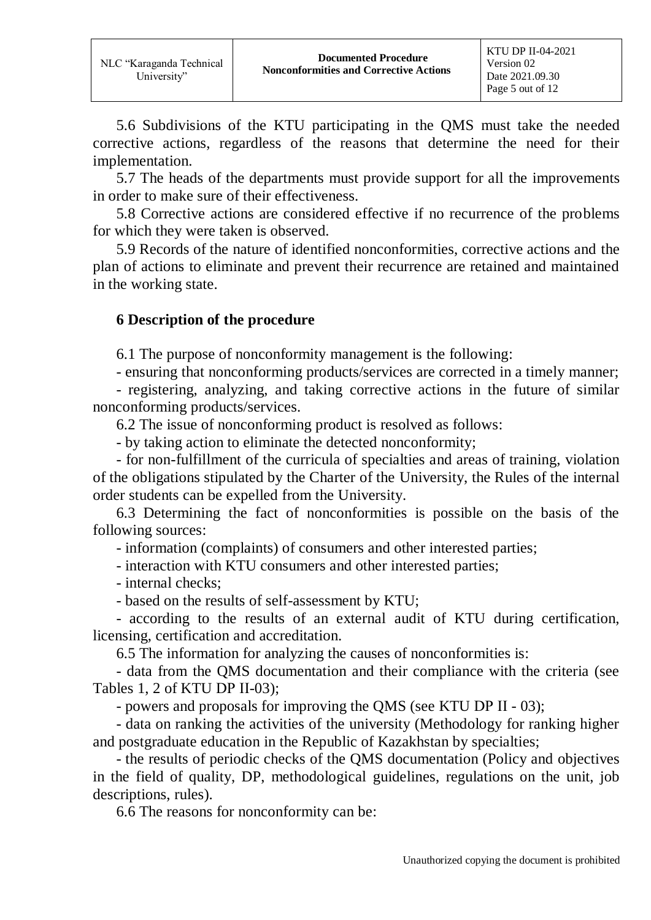5.6 Subdivisions of the KTU participating in the QMS must take the needed corrective actions, regardless of the reasons that determine the need for their implementation.

5.7 The heads of the departments must provide support for all the improvements in order to make sure of their effectiveness.

5.8 Corrective actions are considered effective if no recurrence of the problems for which they were taken is observed.

5.9 Records of the nature of identified nonconformities, corrective actions and the plan of actions to eliminate and prevent their recurrence are retained and maintained in the working state.

#### **6 Description of the procedure**

6.1 The purpose of nonconformity management is the following:

- ensuring that nonconforming products/services are corrected in a timely manner;

- registering, analyzing, and taking corrective actions in the future of similar nonconforming products/services.

6.2 The issue of nonconforming product is resolved as follows:

- by taking action to eliminate the detected nonconformity;

- for non-fulfillment of the curricula of specialties and areas of training, violation of the obligations stipulated by the Charter of the University, the Rules of the internal order students can be expelled from the University.

6.3 Determining the fact of nonconformities is possible on the basis of the following sources:

- information (complaints) of consumers and other interested parties;

- interaction with KTU consumers and other interested parties;

- internal checks;

- based on the results of self-assessment by KTU;

- according to the results of an external audit of KTU during certification, licensing, certification and accreditation.

6.5 The information for analyzing the causes of nonconformities is:

- data from the QMS documentation and their compliance with the criteria (see Tables 1, 2 of KTU DP II-03);

- powers and proposals for improving the QMS (see KTU DP ІІ - 03);

- data on ranking the activities of the university (Methodology for ranking higher and postgraduate education in the Republic of Kazakhstan by specialties;

- the results of periodic checks of the QMS documentation (Policy and objectives in the field of quality, DP, methodological guidelines, regulations on the unit, job descriptions, rules).

6.6 The reasons for nonconformity can be: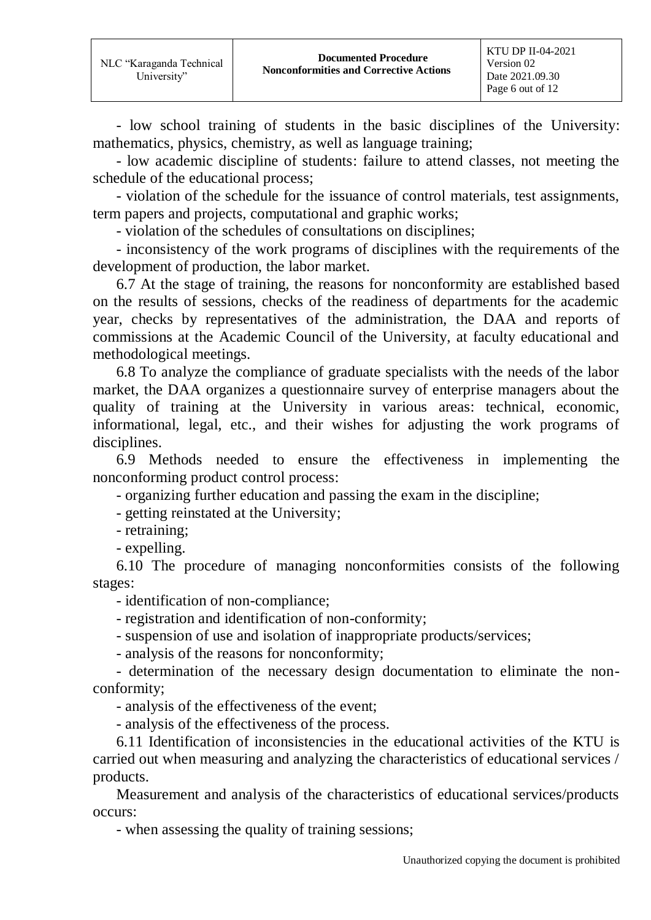- low school training of students in the basic disciplines of the University: mathematics, physics, chemistry, as well as language training;

- low academic discipline of students: failure to attend classes, not meeting the schedule of the educational process;

- violation of the schedule for the issuance of control materials, test assignments, term papers and projects, computational and graphic works;

- violation of the schedules of consultations on disciplines;

- inconsistency of the work programs of disciplines with the requirements of the development of production, the labor market.

6.7 At the stage of training, the reasons for nonconformity are established based on the results of sessions, checks of the readiness of departments for the academic year, checks by representatives of the administration, the DAA and reports of commissions at the Academic Council of the University, at faculty educational and methodological meetings.

6.8 To analyze the compliance of graduate specialists with the needs of the labor market, the DAA organizes a questionnaire survey of enterprise managers about the quality of training at the University in various areas: technical, economic, informational, legal, etc., and their wishes for adjusting the work programs of disciplines.

6.9 Methods needed to ensure the effectiveness in implementing the nonconforming product control process:

- organizing further education and passing the exam in the discipline;

- getting reinstated at the University;

- retraining;

- expelling.

6.10 The procedure of managing nonconformities consists of the following stages:

- identification of non-compliance;

- registration and identification of non-conformity;

- suspension of use and isolation of inappropriate products/services;

- analysis of the reasons for nonconformity;

- determination of the necessary design documentation to eliminate the nonconformity;

- analysis of the effectiveness of the event;

- analysis of the effectiveness of the process.

6.11 Identification of inconsistencies in the educational activities of the KTU is carried out when measuring and analyzing the characteristics of educational services / products.

Measurement and analysis of the characteristics of educational services/products occurs:

- when assessing the quality of training sessions;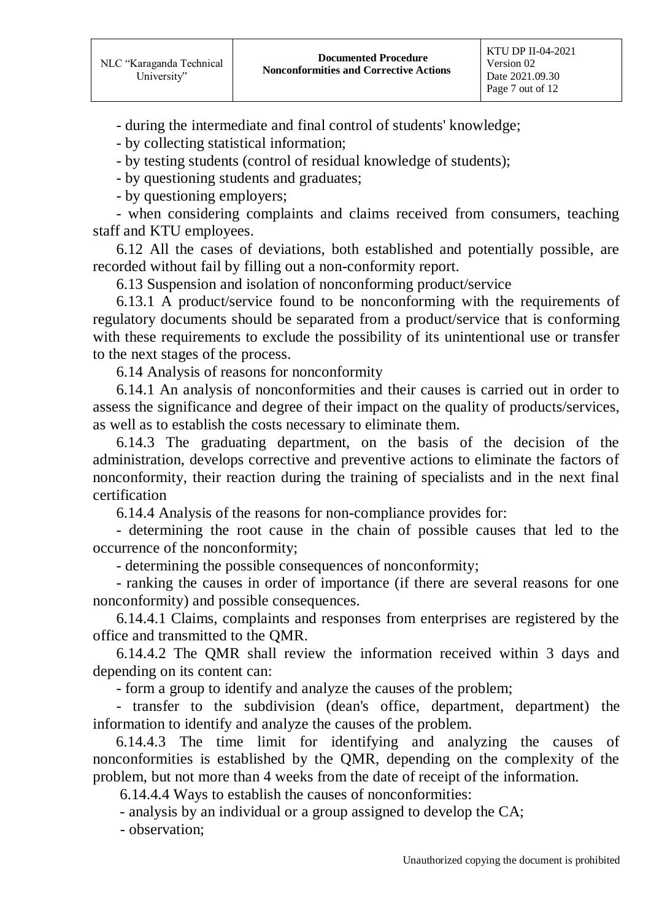- during the intermediate and final control of students' knowledge;

- by collecting statistical information;

- by testing students (control of residual knowledge of students);

- by questioning students and graduates;

- by questioning employers;

- when considering complaints and claims received from consumers, teaching staff and KTU employees.

6.12 All the cases of deviations, both established and potentially possible, are recorded without fail by filling out a non-conformity report.

6.13 Suspension and isolation of nonconforming product/service

6.13.1 A product/service found to be nonconforming with the requirements of regulatory documents should be separated from a product/service that is conforming with these requirements to exclude the possibility of its unintentional use or transfer to the next stages of the process.

6.14 Analysis of reasons for nonconformity

6.14.1 An analysis of nonconformities and their causes is carried out in order to assess the significance and degree of their impact on the quality of products/services, as well as to establish the costs necessary to eliminate them.

6.14.3 The graduating department, on the basis of the decision of the administration, develops corrective and preventive actions to eliminate the factors of nonconformity, their reaction during the training of specialists and in the next final certification

6.14.4 Analysis of the reasons for non-compliance provides for:

- determining the root cause in the chain of possible causes that led to the occurrence of the nonconformity;

- determining the possible consequences of nonconformity;

- ranking the causes in order of importance (if there are several reasons for one nonconformity) and possible consequences.

6.14.4.1 Claims, complaints and responses from enterprises are registered by the office and transmitted to the QMR.

6.14.4.2 The QMR shall review the information received within 3 days and depending on its content can:

- form a group to identify and analyze the causes of the problem;

- transfer to the subdivision (dean's office, department, department) the information to identify and analyze the causes of the problem.

 6.14.4.3 The time limit for identifying and analyzing the causes of nonconformities is established by the QMR, depending on the complexity of the problem, but not more than 4 weeks from the date of receipt of the information.

6.14.4.4 Ways to establish the causes of nonconformities:

- analysis by an individual or a group assigned to develop the CA;

- observation;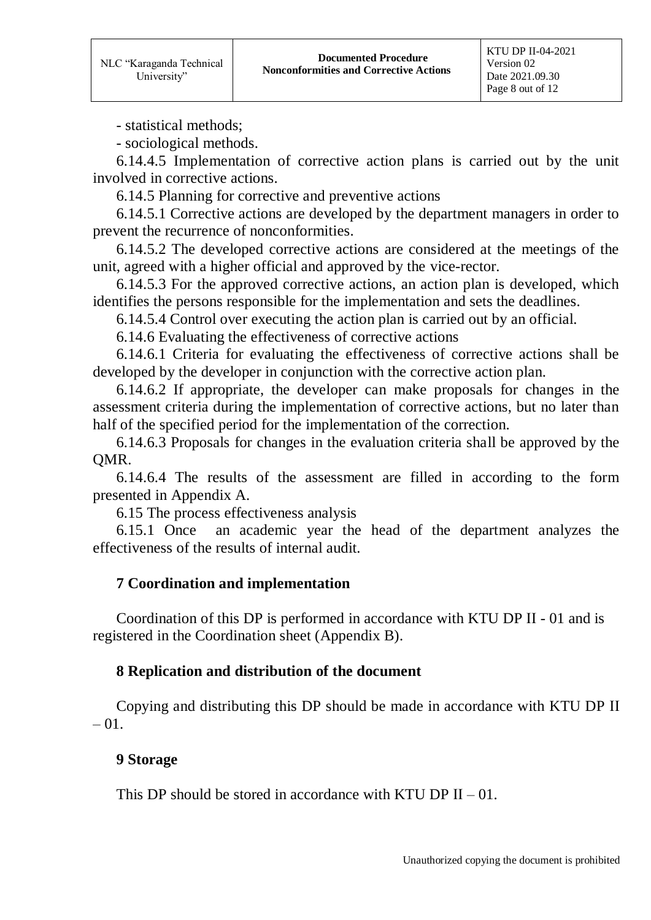- statistical methods;

- sociological methods.

6.14.4.5 Implementation of corrective action plans is carried out by the unit involved in corrective actions.

6.14.5 Planning for corrective and preventive actions

6.14.5.1 Corrective actions are developed by the department managers in order to prevent the recurrence of nonconformities.

6.14.5.2 The developed corrective actions are considered at the meetings of the unit, agreed with a higher official and approved by the vice-rector.

6.14.5.3 For the approved corrective actions, an action plan is developed, which identifies the persons responsible for the implementation and sets the deadlines.

6.14.5.4 Control over executing the action plan is carried out by an official.

6.14.6 Evaluating the effectiveness of corrective actions

6.14.6.1 Criteria for evaluating the effectiveness of corrective actions shall be developed by the developer in conjunction with the corrective action plan.

6.14.6.2 If appropriate, the developer can make proposals for changes in the assessment criteria during the implementation of corrective actions, but no later than half of the specified period for the implementation of the correction.

6.14.6.3 Proposals for changes in the evaluation criteria shall be approved by the QMR.

6.14.6.4 The results of the assessment are filled in according to the form presented in Appendix A.

6.15 The process effectiveness analysis

6.15.1 Once an academic year the head of the department analyzes the effectiveness of the results of internal audit.

#### **7 Coordination and implementation**

Coordination of this DP is performed in accordance with KTU DP ІІ - 01 and is registered in the Coordination sheet (Appendix B).

#### **8 Replication and distribution of the document**

Copying and distributing this DP should be made in accordance with KTU DP ІІ  $-01$ .

#### **9 Storage**

This DP should be stored in accordance with KTU DP  $II - 01$ .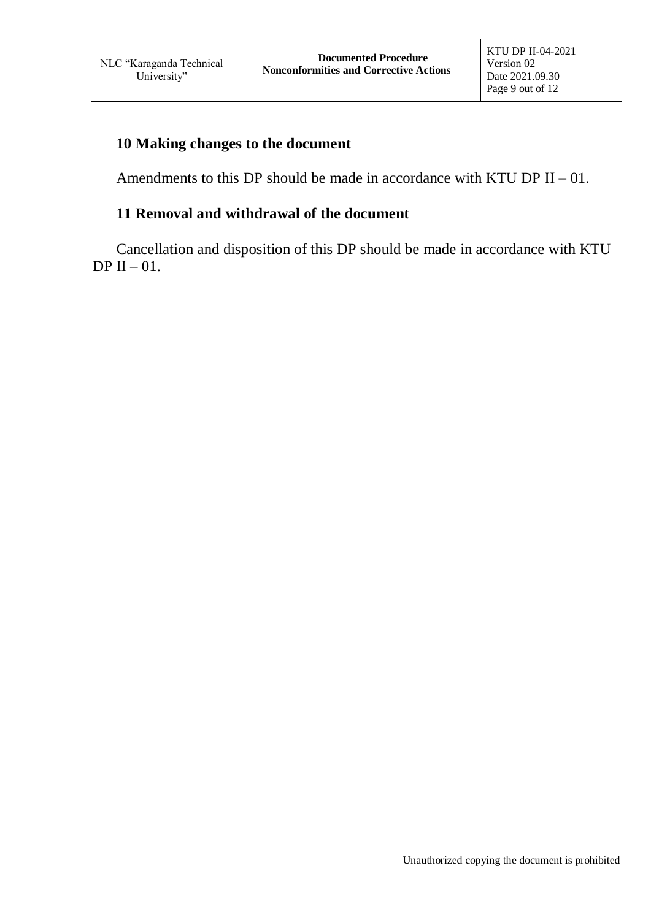## **10 Making changes to the document**

Amendments to this DP should be made in accordance with KTU DP  $II - 01$ .

# **11 Removal and withdrawal of the document**

Cancellation and disposition of this DP should be made in accordance with KTU DP II  $-01$ .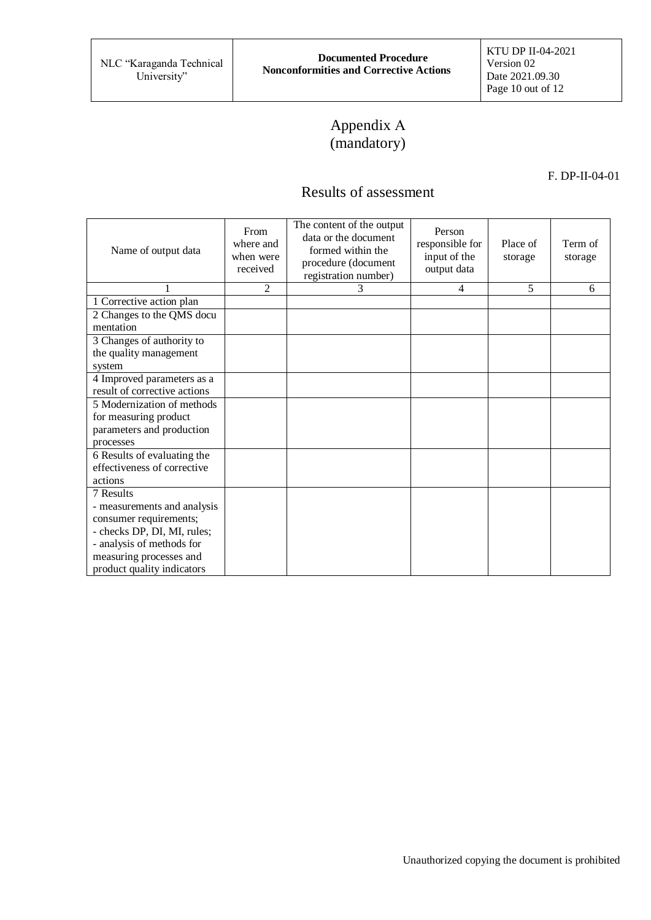# Appendix А (mandatory)

#### F. DP-ІІ-04-01

# Results of assessment

| Name of output data          | From<br>where and<br>when were<br>received | The content of the output<br>data or the document<br>formed within the<br>procedure (document<br>registration number) | Person<br>responsible for<br>input of the<br>output data | Place of<br>storage | Term of<br>storage |
|------------------------------|--------------------------------------------|-----------------------------------------------------------------------------------------------------------------------|----------------------------------------------------------|---------------------|--------------------|
|                              | $\overline{2}$                             | 3                                                                                                                     | 4                                                        | 5                   | 6                  |
| 1 Corrective action plan     |                                            |                                                                                                                       |                                                          |                     |                    |
| 2 Changes to the QMS docu    |                                            |                                                                                                                       |                                                          |                     |                    |
| mentation                    |                                            |                                                                                                                       |                                                          |                     |                    |
| 3 Changes of authority to    |                                            |                                                                                                                       |                                                          |                     |                    |
| the quality management       |                                            |                                                                                                                       |                                                          |                     |                    |
| system                       |                                            |                                                                                                                       |                                                          |                     |                    |
| 4 Improved parameters as a   |                                            |                                                                                                                       |                                                          |                     |                    |
| result of corrective actions |                                            |                                                                                                                       |                                                          |                     |                    |
| 5 Modernization of methods   |                                            |                                                                                                                       |                                                          |                     |                    |
| for measuring product        |                                            |                                                                                                                       |                                                          |                     |                    |
| parameters and production    |                                            |                                                                                                                       |                                                          |                     |                    |
| processes                    |                                            |                                                                                                                       |                                                          |                     |                    |
| 6 Results of evaluating the  |                                            |                                                                                                                       |                                                          |                     |                    |
| effectiveness of corrective  |                                            |                                                                                                                       |                                                          |                     |                    |
| actions                      |                                            |                                                                                                                       |                                                          |                     |                    |
| 7 Results                    |                                            |                                                                                                                       |                                                          |                     |                    |
| - measurements and analysis  |                                            |                                                                                                                       |                                                          |                     |                    |
| consumer requirements;       |                                            |                                                                                                                       |                                                          |                     |                    |
| - checks DP, DI, MI, rules;  |                                            |                                                                                                                       |                                                          |                     |                    |
| - analysis of methods for    |                                            |                                                                                                                       |                                                          |                     |                    |
| measuring processes and      |                                            |                                                                                                                       |                                                          |                     |                    |
| product quality indicators   |                                            |                                                                                                                       |                                                          |                     |                    |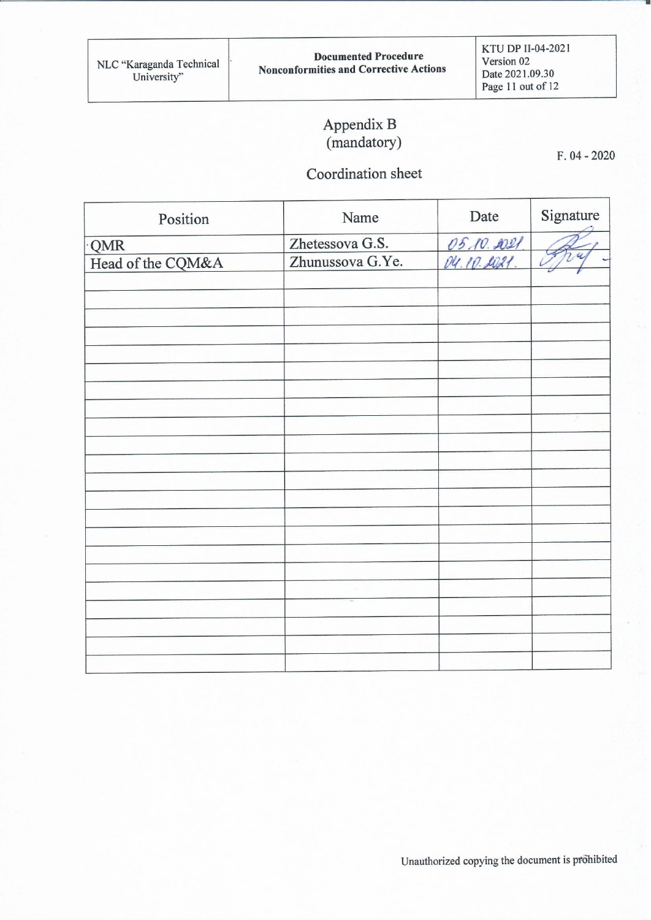# Appendix B<br>(mandatory)

 $F. 04 - 2020$ 

# Coordination sheet

| Position          | Name             | Date       | Signature     |
|-------------------|------------------|------------|---------------|
| QMR               | Zhetessova G.S.  | 05.10.2021 |               |
| Head of the CQM&A | Zhunussova G.Ye. |            | $\mathcal{U}$ |
|                   |                  |            |               |
|                   |                  |            |               |
|                   |                  |            |               |
|                   |                  |            |               |
|                   |                  |            |               |
|                   |                  |            |               |
|                   |                  |            |               |
|                   |                  |            |               |
|                   |                  |            |               |
|                   |                  |            |               |
|                   |                  |            |               |
|                   |                  |            |               |
|                   |                  |            |               |
|                   |                  |            |               |
|                   |                  |            |               |
|                   |                  |            |               |
|                   |                  |            |               |
|                   |                  |            |               |
|                   |                  |            |               |
|                   |                  |            |               |
|                   |                  |            |               |